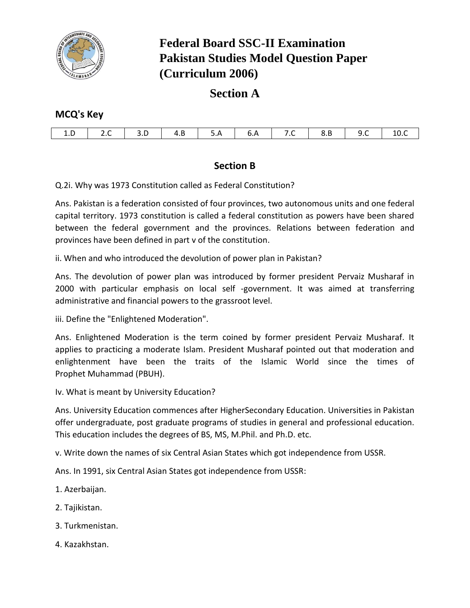

# **Federal Board SSC-II Examination Pakistan Studies Model Question Paper (Curriculum 2006)**

## **Section A**

## **MCQ's Key**

|    |  |     |     |                                                            | $7C$ |  |       |
|----|--|-----|-----|------------------------------------------------------------|------|--|-------|
| ᆦᆡ |  | 4.B | J.A | $\begin{array}{ c c c c c } \hline \text{6.A} \end{array}$ |      |  | - 10. |

## **Section B**

Q.2i. Why was 1973 Constitution called as Federal Constitution?

Ans. Pakistan is a federation consisted of four provinces, two autonomous units and one federal capital territory. 1973 constitution is called a federal constitution as powers have been shared between the federal government and the provinces. Relations between federation and provinces have been defined in part v of the constitution.

ii. When and who introduced the devolution of power plan in Pakistan?

Ans. The devolution of power plan was introduced by former president Pervaiz Musharaf in 2000 with particular emphasis on local self -government. It was aimed at transferring administrative and financial powers to the grassroot level.

iii. Define the "Enlightened Moderation".

Ans. Enlightened Moderation is the term coined by former president Pervaiz Musharaf. It applies to practicing a moderate Islam. President Musharaf pointed out that moderation and enlightenment have been the traits of the Islamic World since the times of Prophet Muhammad (PBUH).

Iv. What is meant by University Education?

Ans. University Education commences after HigherSecondary Education. Universities in Pakistan offer undergraduate, post graduate programs of studies in general and professional education. This education includes the degrees of BS, MS, M.Phil. and Ph.D. etc.

v. Write down the names of six Central Asian States which got independence from USSR.

Ans. In 1991, six Central Asian States got independence from USSR:

- 1. Azerbaijan.
- 2. Tajikistan.
- 3. Turkmenistan.
- 4. Kazakhstan.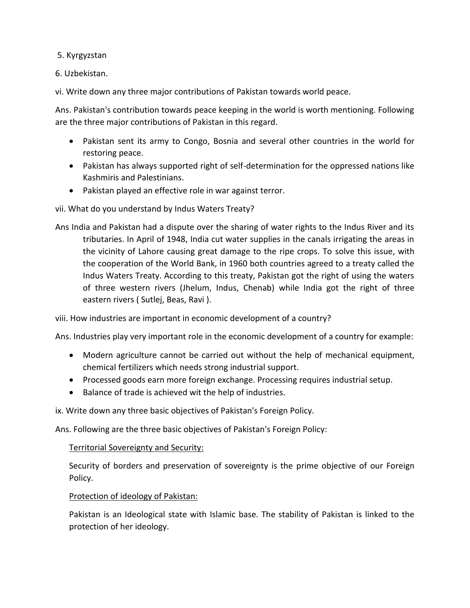5. Kyrgyzstan

6. Uzbekistan.

vi. Write down any three major contributions of Pakistan towards world peace.

Ans. Pakistan's contribution towards peace keeping in the world is worth mentioning. Following are the three major contributions of Pakistan in this regard.

- Pakistan sent its army to Congo, Bosnia and several other countries in the world for restoring peace.
- Pakistan has always supported right of self-determination for the oppressed nations like Kashmiris and Palestinians.
- Pakistan played an effective role in war against terror.

## vii. What do you understand by Indus Waters Treaty?

Ans India and Pakistan had a dispute over the sharing of water rights to the Indus River and its tributaries. In April of 1948, India cut water supplies in the canals irrigating the areas in the vicinity of Lahore causing great damage to the ripe crops. To solve this issue, with the cooperation of the World Bank, in 1960 both countries agreed to a treaty called the Indus Waters Treaty. According to this treaty, Pakistan got the right of using the waters of three western rivers (Jhelum, Indus, Chenab) while India got the right of three eastern rivers ( Sutlej, Beas, Ravi ).

viii. How industries are important in economic development of a country?

Ans. Industries play very important role in the economic development of a country for example:

- Modern agriculture cannot be carried out without the help of mechanical equipment, chemical fertilizers which needs strong industrial support.
- Processed goods earn more foreign exchange. Processing requires industrial setup.
- Balance of trade is achieved wit the help of industries.

ix. Write down any three basic objectives of Pakistan's Foreign Policy.

Ans. Following are the three basic objectives of Pakistan's Foreign Policy:

### Territorial Sovereignty and Security:

Security of borders and preservation of sovereignty is the prime objective of our Foreign Policy.

### Protection of ideology of Pakistan:

Pakistan is an Ideological state with Islamic base. The stability of Pakistan is linked to the protection of her ideology.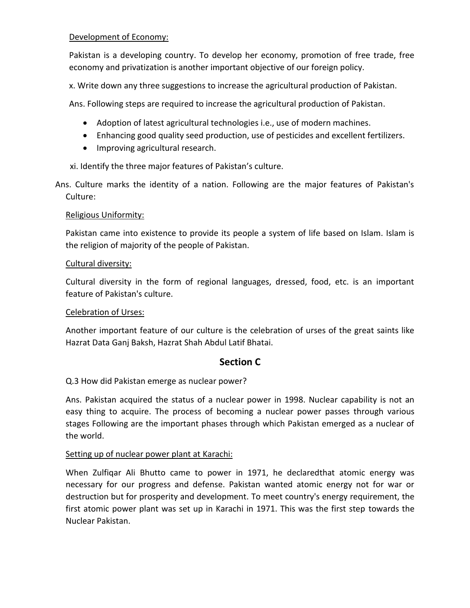## Development of Economy:

Pakistan is a developing country. To develop her economy, promotion of free trade, free economy and privatization is another important objective of our foreign policy.

x. Write down any three suggestions to increase the agricultural production of Pakistan.

Ans. Following steps are required to increase the agricultural production of Pakistan.

- Adoption of latest agricultural technologies i.e., use of modern machines.
- Enhancing good quality seed production, use of pesticides and excellent fertilizers.
- Improving agricultural research.

xi. Identify the three major features of Pakistan's culture.

Ans. Culture marks the identity of a nation. Following are the major features of Pakistan's Culture:

## Religious Uniformity:

Pakistan came into existence to provide its people a system of life based on Islam. Islam is the religion of majority of the people of Pakistan.

## Cultural diversity:

Cultural diversity in the form of regional languages, dressed, food, etc. is an important feature of Pakistan's culture.

## Celebration of Urses:

Another important feature of our culture is the celebration of urses of the great saints like Hazrat Data Ganj Baksh, Hazrat Shah Abdul Latif Bhatai.

## **Section C**

Q.3 How did Pakistan emerge as nuclear power?

Ans. Pakistan acquired the status of a nuclear power in 1998. Nuclear capability is not an easy thing to acquire. The process of becoming a nuclear power passes through various stages Following are the important phases through which Pakistan emerged as a nuclear of the world.

## Setting up of nuclear power plant at Karachi:

When Zulfiqar Ali Bhutto came to power in 1971, he declaredthat atomic energy was necessary for our progress and defense. Pakistan wanted atomic energy not for war or destruction but for prosperity and development. To meet country's energy requirement, the first atomic power plant was set up in Karachi in 1971. This was the first step towards the Nuclear Pakistan.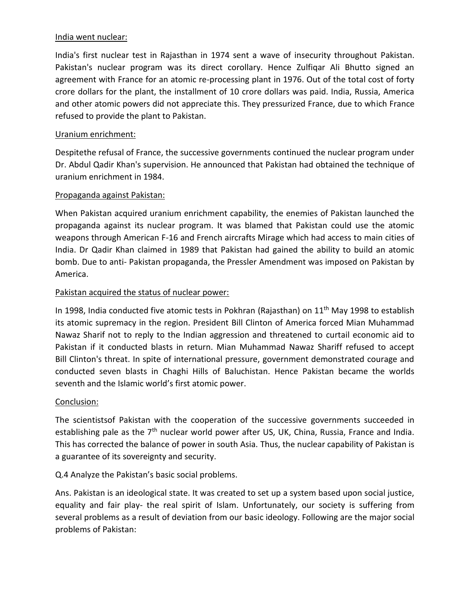### India went nuclear:

India's first nuclear test in Rajasthan in 1974 sent a wave of insecurity throughout Pakistan. Pakistan's nuclear program was its direct corollary. Hence Zulfiqar Ali Bhutto signed an agreement with France for an atomic re-processing plant in 1976. Out of the total cost of forty crore dollars for the plant, the installment of 10 crore dollars was paid. India, Russia, America and other atomic powers did not appreciate this. They pressurized France, due to which France refused to provide the plant to Pakistan.

## Uranium enrichment:

Despitethe refusal of France, the successive governments continued the nuclear program under Dr. Abdul Qadir Khan's supervision. He announced that Pakistan had obtained the technique of uranium enrichment in 1984.

## Propaganda against Pakistan:

When Pakistan acquired uranium enrichment capability, the enemies of Pakistan launched the propaganda against its nuclear program. It was blamed that Pakistan could use the atomic weapons through American F-16 and French aircrafts Mirage which had access to main cities of India. Dr Qadir Khan claimed in 1989 that Pakistan had gained the ability to build an atomic bomb. Due to anti- Pakistan propaganda, the Pressler Amendment was imposed on Pakistan by America.

## Pakistan acquired the status of nuclear power:

In 1998, India conducted five atomic tests in Pokhran (Rajasthan) on 11<sup>th</sup> May 1998 to establish its atomic supremacy in the region. President Bill Clinton of America forced Mian Muhammad Nawaz Sharif not to reply to the Indian aggression and threatened to curtail economic aid to Pakistan if it conducted blasts in return. Mian Muhammad Nawaz Shariff refused to accept Bill Clinton's threat. In spite of international pressure, government demonstrated courage and conducted seven blasts in Chaghi Hills of Baluchistan. Hence Pakistan became the worlds seventh and the Islamic world's first atomic power.

### Conclusion:

The scientistsof Pakistan with the cooperation of the successive governments succeeded in establishing pale as the 7<sup>th</sup> nuclear world power after US, UK, China, Russia, France and India. This has corrected the balance of power in south Asia. Thus, the nuclear capability of Pakistan is a guarantee of its sovereignty and security.

## Q.4 Analyze the Pakistan's basic social problems.

Ans. Pakistan is an ideological state. It was created to set up a system based upon social justice, equality and fair play- the real spirit of Islam. Unfortunately, our society is suffering from several problems as a result of deviation from our basic ideology. Following are the major social problems of Pakistan: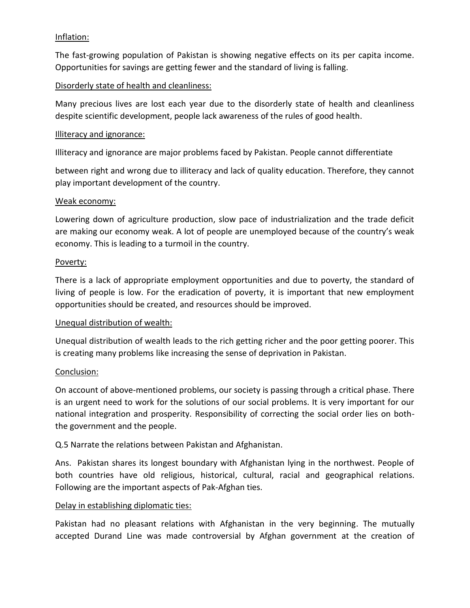## Inflation:

The fast-growing population of Pakistan is showing negative effects on its per capita income. Opportunities for savings are getting fewer and the standard of living is falling.

## Disorderly state of health and cleanliness:

Many precious lives are lost each year due to the disorderly state of health and cleanliness despite scientific development, people lack awareness of the rules of good health.

#### Illiteracy and ignorance:

Illiteracy and ignorance are major problems faced by Pakistan. People cannot differentiate

between right and wrong due to illiteracy and lack of quality education. Therefore, they cannot play important development of the country.

#### Weak economy:

Lowering down of agriculture production, slow pace of industrialization and the trade deficit are making our economy weak. A lot of people are unemployed because of the country's weak economy. This is leading to a turmoil in the country.

#### Poverty:

There is a lack of appropriate employment opportunities and due to poverty, the standard of living of people is low. For the eradication of poverty, it is important that new employment opportunities should be created, and resources should be improved.

### Unequal distribution of wealth:

Unequal distribution of wealth leads to the rich getting richer and the poor getting poorer. This is creating many problems like increasing the sense of deprivation in Pakistan.

### Conclusion:

On account of above-mentioned problems, our society is passing through a critical phase. There is an urgent need to work for the solutions of our social problems. It is very important for our national integration and prosperity. Responsibility of correcting the social order lies on boththe government and the people.

Q.5 Narrate the relations between Pakistan and Afghanistan.

Ans. Pakistan shares its longest boundary with Afghanistan lying in the northwest. People of both countries have old religious, historical, cultural, racial and geographical relations. Following are the important aspects of Pak-Afghan ties.

### Delay in establishing diplomatic ties:

Pakistan had no pleasant relations with Afghanistan in the very beginning. The mutually accepted Durand Line was made controversial by Afghan government at the creation of